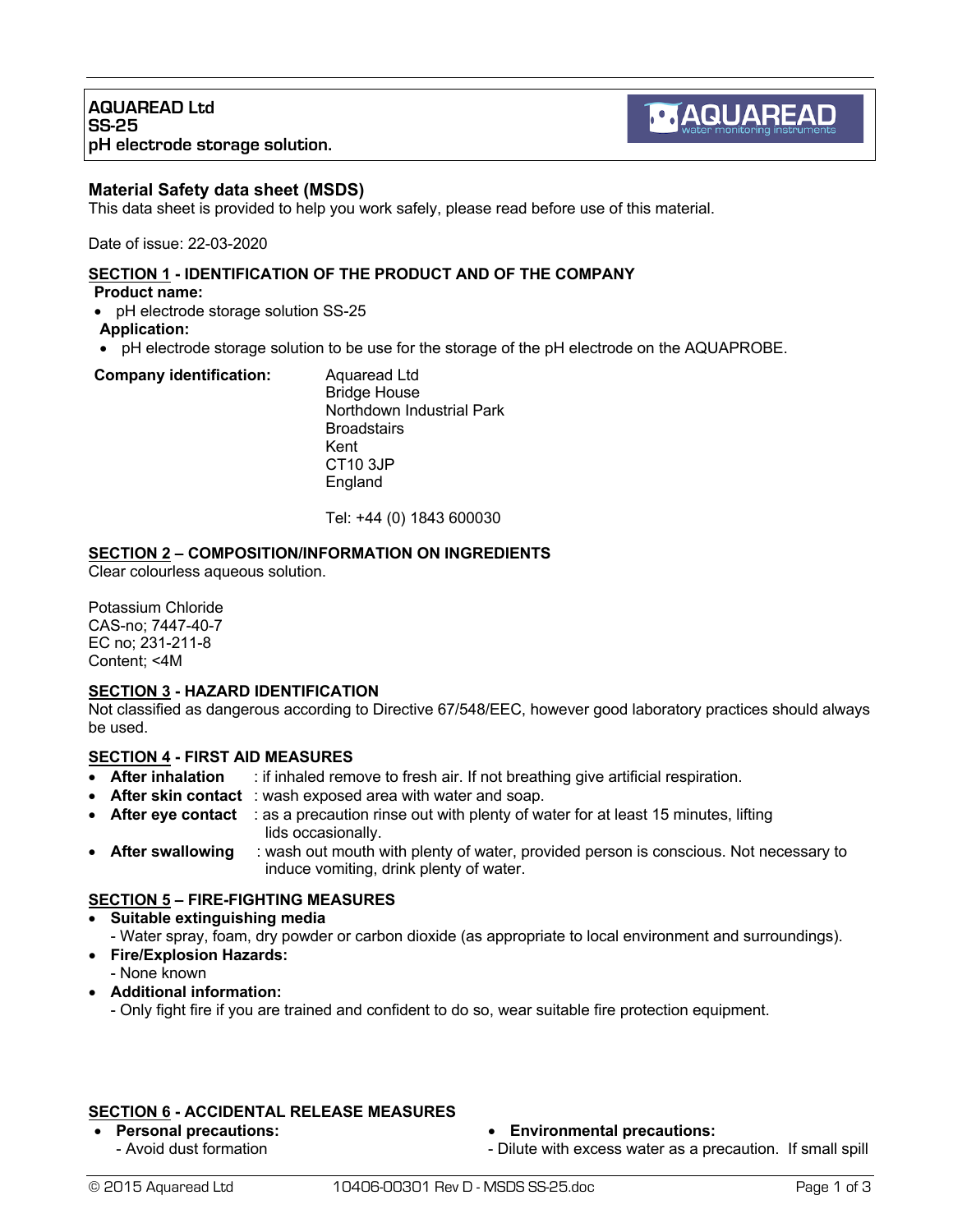### **Material Safety data sheet (MSDS)**

This data sheet is provided to help you work safely, please read before use of this material.

Date of issue: 22-03-2020

# **SECTION 1 - IDENTIFICATION OF THE PRODUCT AND OF THE COMPANY**

**Product name:**

- pH electrode storage solution SS-25
- **Application:**
- pH electrode storage solution to be use for the storage of the pH electrode on the AQUAPROBE.

#### **Company identification:** Aquaread Ltd

Bridge House Northdown Industrial Park **Broadstairs** Kent CT10 3JP England

Tel: +44 (0) 1843 600030

### **SECTION 2 – COMPOSITION/INFORMATION ON INGREDIENTS**

Clear colourless aqueous solution.

Potassium Chloride CAS-no; 7447-40-7 EC no; 231-211-8 Content; <4M

#### **SECTION 3 - HAZARD IDENTIFICATION**

Not classified as dangerous according to Directive 67/548/EEC, however good laboratory practices should always be used.

### **SECTION 4 - FIRST AID MEASURES**

- **After inhalation** : if inhaled remove to fresh air. If not breathing give artificial respiration.
- **After skin contact** : wash exposed area with water and soap.
- **After eye contact** : as a precaution rinse out with plenty of water for at least 15 minutes, lifting lids occasionally.
- **After swallowing** : wash out mouth with plenty of water, provided person is conscious. Not necessary to induce vomiting, drink plenty of water.

# **SECTION 5 – FIRE-FIGHTING MEASURES**

### • **Suitable extinguishing media**

- Water spray, foam, dry powder or carbon dioxide (as appropriate to local environment and surroundings).
- **Fire/Explosion Hazards:**
	- None known
- **Additional information:**
	- Only fight fire if you are trained and confident to do so, wear suitable fire protection equipment.

### **SECTION 6 - ACCIDENTAL RELEASE MEASURES**

• **Personal precautions:** - Avoid dust formation

- **Environmental precautions:**
- Dilute with excess water as a precaution. If small spill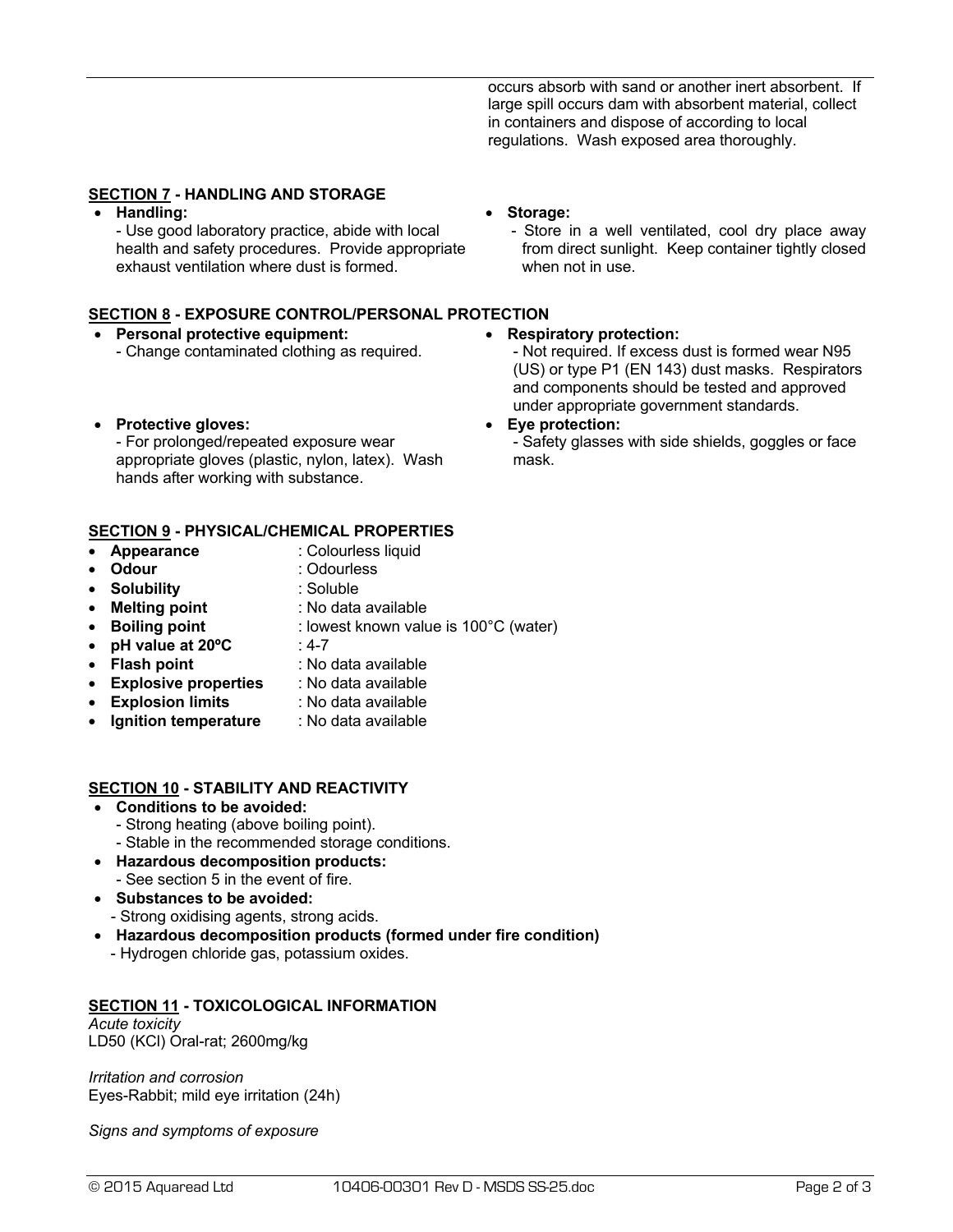occurs absorb with sand or another inert absorbent. If large spill occurs dam with absorbent material, collect in containers and dispose of according to local regulations. Wash exposed area thoroughly.

# **SECTION 7 - HANDLING AND STORAGE**

• **Handling:**

- Use good laboratory practice, abide with local health and safety procedures. Provide appropriate exhaust ventilation where dust is formed.

# **SECTION 8 - EXPOSURE CONTROL/PERSONAL PROTECTION**

#### • **Personal protective equipment:** - Change contaminated clothing as required.

• **Protective gloves:**

- For prolonged/repeated exposure wear appropriate gloves (plastic, nylon, latex). Wash hands after working with substance.

### **SECTION 9 - PHYSICAL/CHEMICAL PROPERTIES**

- **Appearance** : Colourless liquid
	-
- **Odour** : Odourless
	-
- **Solubility** : Soluble
- **Melting point** : No data available
- **Boiling point** : lowest known value is 100°C (water)
- **pH value at 20ºC** : 4-7
- **Flash point** : No data available
- **Explosive properties** : No data available
- **Explosion limits** : No data available
- **Ignition temperature** : No data available

### **SECTION 10 - STABILITY AND REACTIVITY**

- **Conditions to be avoided:**
	- Strong heating (above boiling point).
	- Stable in the recommended storage conditions.
- **Hazardous decomposition products:**
	- See section 5 in the event of fire.
- **Substances to be avoided:** - Strong oxidising agents, strong acids.
- **Hazardous decomposition products (formed under fire condition)**
- Hydrogen chloride gas, potassium oxides.

# **SECTION 11 - TOXICOLOGICAL INFORMATION**

*Acute toxicity* LD50 (KCl) Oral-rat; 2600mg/kg

*Irritation and corrosion* Eyes-Rabbit; mild eye irritation (24h)

*Signs and symptoms of exposure*

# • **Storage:**

- Store in a well ventilated, cool dry place away from direct sunlight. Keep container tightly closed when not in use.

### • **Respiratory protection:**

- Not required. If excess dust is formed wear N95 (US) or type P1 (EN 143) dust masks. Respirators and components should be tested and approved under appropriate government standards.

#### • **Eye protection:**

- Safety glasses with side shields, goggles or face mask.